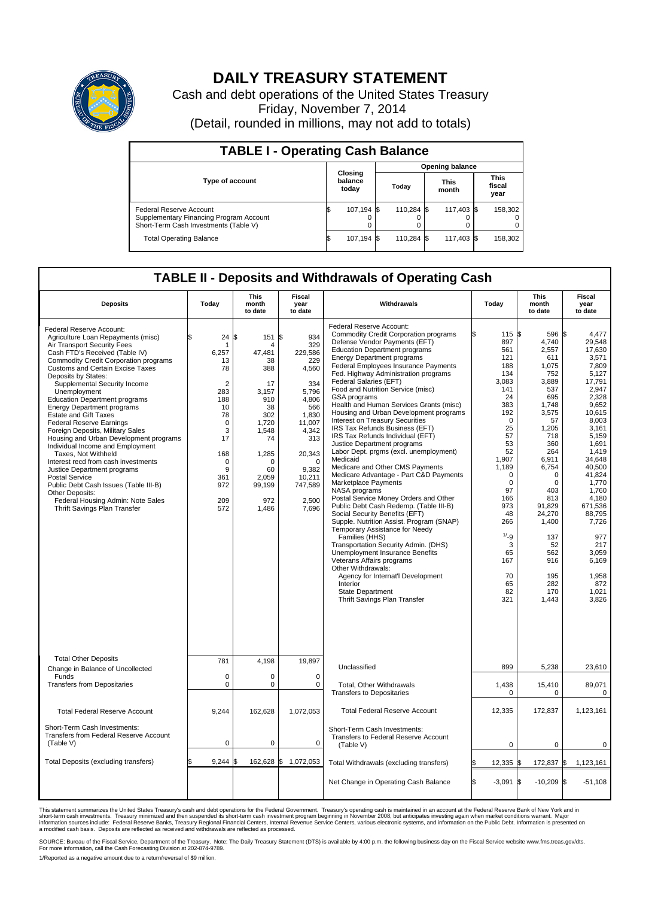

## **DAILY TREASURY STATEMENT**

Cash and debt operations of the United States Treasury Friday, November 7, 2014 (Detail, rounded in millions, may not add to totals)

| <b>TABLE I - Operating Cash Balance</b>                                                                            |                             |            |                        |            |  |                      |  |                               |  |  |  |
|--------------------------------------------------------------------------------------------------------------------|-----------------------------|------------|------------------------|------------|--|----------------------|--|-------------------------------|--|--|--|
|                                                                                                                    |                             |            | <b>Opening balance</b> |            |  |                      |  |                               |  |  |  |
| <b>Type of account</b>                                                                                             | Closing<br>balance<br>today |            |                        | Today      |  | <b>This</b><br>month |  | <b>This</b><br>fiscal<br>year |  |  |  |
| <b>Federal Reserve Account</b><br>Supplementary Financing Program Account<br>Short-Term Cash Investments (Table V) |                             | 107,194 \$ |                        | 110.284 \$ |  | 117,403 \$           |  | 158,302                       |  |  |  |
| <b>Total Operating Balance</b>                                                                                     |                             | 107,194 \$ |                        | 110.284 \$ |  | 117,403 \$           |  | 158,302                       |  |  |  |

## **TABLE II - Deposits and Withdrawals of Operating Cash**

| <b>Deposits</b>                                                                                                                                                                                                                                                                                                                                                                                                                                                                                                                                                                                                                                                                                                                                                                                                     | Today                                                                                                                                                      | <b>This</b><br>month<br>to date                                                                                                                              | <b>Fiscal</b><br>year<br>to date                                                                                                                                               | Withdrawals                                                                                                                                                                                                                                                                                                                                                                                                                                                                                                                                                                                                                                                                                                                                                                                                                                                                                                                                                                                                                                                                                                                                                                                                                          | Today                                                                                                                                                                                                                                                    | <b>This</b><br>month<br>to date                                                                                                                                                                                                                                               | <b>Fiscal</b><br>year<br>to date                                                                                                                                                                                                                                                                          |
|---------------------------------------------------------------------------------------------------------------------------------------------------------------------------------------------------------------------------------------------------------------------------------------------------------------------------------------------------------------------------------------------------------------------------------------------------------------------------------------------------------------------------------------------------------------------------------------------------------------------------------------------------------------------------------------------------------------------------------------------------------------------------------------------------------------------|------------------------------------------------------------------------------------------------------------------------------------------------------------|--------------------------------------------------------------------------------------------------------------------------------------------------------------|--------------------------------------------------------------------------------------------------------------------------------------------------------------------------------|--------------------------------------------------------------------------------------------------------------------------------------------------------------------------------------------------------------------------------------------------------------------------------------------------------------------------------------------------------------------------------------------------------------------------------------------------------------------------------------------------------------------------------------------------------------------------------------------------------------------------------------------------------------------------------------------------------------------------------------------------------------------------------------------------------------------------------------------------------------------------------------------------------------------------------------------------------------------------------------------------------------------------------------------------------------------------------------------------------------------------------------------------------------------------------------------------------------------------------------|----------------------------------------------------------------------------------------------------------------------------------------------------------------------------------------------------------------------------------------------------------|-------------------------------------------------------------------------------------------------------------------------------------------------------------------------------------------------------------------------------------------------------------------------------|-----------------------------------------------------------------------------------------------------------------------------------------------------------------------------------------------------------------------------------------------------------------------------------------------------------|
| Federal Reserve Account:<br>Agriculture Loan Repayments (misc)<br>Air Transport Security Fees<br>Cash FTD's Received (Table IV)<br><b>Commodity Credit Corporation programs</b><br><b>Customs and Certain Excise Taxes</b><br>Deposits by States:<br>Supplemental Security Income<br>Unemployment<br><b>Education Department programs</b><br><b>Energy Department programs</b><br><b>Estate and Gift Taxes</b><br><b>Federal Reserve Earnings</b><br>Foreign Deposits, Military Sales<br>Housing and Urban Development programs<br>Individual Income and Employment<br>Taxes, Not Withheld<br>Interest recd from cash investments<br>Justice Department programs<br>Postal Service<br>Public Debt Cash Issues (Table III-B)<br>Other Deposits:<br>Federal Housing Admin: Note Sales<br>Thrift Savings Plan Transfer | 24<br>\$<br>6,257<br>13<br>78<br>$\overline{2}$<br>283<br>188<br>10<br>78<br>$\mathbf 0$<br>3<br>17<br>168<br>$\mathbf 0$<br>9<br>361<br>972<br>209<br>572 | \$<br>151 \$<br>47,481<br>38<br>388<br>17<br>3,157<br>910<br>38<br>302<br>1.720<br>1,548<br>74<br>1,285<br>$\Omega$<br>60<br>2.059<br>99,199<br>972<br>1,486 | 934<br>329<br>229,586<br>229<br>4,560<br>334<br>5,796<br>4,806<br>566<br>1,830<br>11.007<br>4,342<br>313<br>20,343<br>$\Omega$<br>9.382<br>10,211<br>747,589<br>2,500<br>7,696 | Federal Reserve Account:<br>Commodity Credit Corporation programs<br>Defense Vendor Payments (EFT)<br><b>Education Department programs</b><br><b>Energy Department programs</b><br>Federal Employees Insurance Payments<br>Fed. Highway Administration programs<br>Federal Salaries (EFT)<br>Food and Nutrition Service (misc)<br><b>GSA</b> programs<br>Health and Human Services Grants (misc)<br>Housing and Urban Development programs<br><b>Interest on Treasury Securities</b><br>IRS Tax Refunds Business (EFT)<br>IRS Tax Refunds Individual (EFT)<br>Justice Department programs<br>Labor Dept. prgms (excl. unemployment)<br>Medicaid<br>Medicare and Other CMS Payments<br>Medicare Advantage - Part C&D Payments<br>Marketplace Payments<br>NASA programs<br>Postal Service Money Orders and Other<br>Public Debt Cash Redemp. (Table III-B)<br>Social Security Benefits (EFT)<br>Supple. Nutrition Assist. Program (SNAP)<br>Temporary Assistance for Needy<br>Families (HHS)<br>Transportation Security Admin. (DHS)<br>Unemployment Insurance Benefits<br>Veterans Affairs programs<br>Other Withdrawals:<br>Agency for Internat'l Development<br>Interior<br><b>State Department</b><br>Thrift Savings Plan Transfer | 115 \$<br>897<br>561<br>121<br>188<br>134<br>3,083<br>141<br>24<br>383<br>192<br>$\mathbf 0$<br>25<br>57<br>53<br>52<br>1,907<br>1,189<br>$\mathbf 0$<br>$\mathbf 0$<br>97<br>166<br>973<br>48<br>266<br>1/29<br>3<br>65<br>167<br>70<br>65<br>82<br>321 | 596 \$<br>4,740<br>2,557<br>611<br>1,075<br>752<br>3,889<br>537<br>695<br>1,748<br>3,575<br>57<br>1,205<br>718<br>360<br>264<br>6,911<br>6,754<br>$\Omega$<br>$\mathbf 0$<br>403<br>813<br>91,829<br>24,270<br>1,400<br>137<br>52<br>562<br>916<br>195<br>282<br>170<br>1,443 | 4.477<br>29,548<br>17,630<br>3,571<br>7.809<br>5.127<br>17,791<br>2,947<br>2,328<br>9,652<br>10.615<br>8,003<br>3,161<br>5,159<br>1.691<br>1,419<br>34,648<br>40,500<br>41,824<br>1,770<br>1.760<br>4,180<br>671,536<br>88,795<br>7,726<br>977<br>217<br>3,059<br>6,169<br>1,958<br>872<br>1,021<br>3,826 |
| <b>Total Other Deposits</b><br>Change in Balance of Uncollected                                                                                                                                                                                                                                                                                                                                                                                                                                                                                                                                                                                                                                                                                                                                                     | 781                                                                                                                                                        | 4,198                                                                                                                                                        | 19,897                                                                                                                                                                         | Unclassified                                                                                                                                                                                                                                                                                                                                                                                                                                                                                                                                                                                                                                                                                                                                                                                                                                                                                                                                                                                                                                                                                                                                                                                                                         | 899                                                                                                                                                                                                                                                      | 5,238                                                                                                                                                                                                                                                                         | 23,610                                                                                                                                                                                                                                                                                                    |
| Funds<br><b>Transfers from Depositaries</b>                                                                                                                                                                                                                                                                                                                                                                                                                                                                                                                                                                                                                                                                                                                                                                         | $\mathbf 0$<br>$\mathbf 0$                                                                                                                                 | 0<br>0                                                                                                                                                       | $\mathbf 0$<br>$\mathbf 0$                                                                                                                                                     | Total, Other Withdrawals<br><b>Transfers to Depositaries</b>                                                                                                                                                                                                                                                                                                                                                                                                                                                                                                                                                                                                                                                                                                                                                                                                                                                                                                                                                                                                                                                                                                                                                                         | 1,438<br>$\pmb{0}$                                                                                                                                                                                                                                       | 15,410<br>$\mathbf 0$                                                                                                                                                                                                                                                         | 89,071<br>$\mathbf 0$                                                                                                                                                                                                                                                                                     |
| <b>Total Federal Reserve Account</b>                                                                                                                                                                                                                                                                                                                                                                                                                                                                                                                                                                                                                                                                                                                                                                                | 9,244                                                                                                                                                      | 162,628                                                                                                                                                      | 1,072,053                                                                                                                                                                      | <b>Total Federal Reserve Account</b>                                                                                                                                                                                                                                                                                                                                                                                                                                                                                                                                                                                                                                                                                                                                                                                                                                                                                                                                                                                                                                                                                                                                                                                                 | 12,335                                                                                                                                                                                                                                                   | 172,837                                                                                                                                                                                                                                                                       | 1,123,161                                                                                                                                                                                                                                                                                                 |
| Short-Term Cash Investments:<br>Transfers from Federal Reserve Account<br>(Table V)                                                                                                                                                                                                                                                                                                                                                                                                                                                                                                                                                                                                                                                                                                                                 | $\mathbf 0$                                                                                                                                                | 0                                                                                                                                                            | 0                                                                                                                                                                              | Short-Term Cash Investments:<br>Transfers to Federal Reserve Account<br>(Table V)                                                                                                                                                                                                                                                                                                                                                                                                                                                                                                                                                                                                                                                                                                                                                                                                                                                                                                                                                                                                                                                                                                                                                    | 0                                                                                                                                                                                                                                                        | 0                                                                                                                                                                                                                                                                             | 0                                                                                                                                                                                                                                                                                                         |
| Total Deposits (excluding transfers)                                                                                                                                                                                                                                                                                                                                                                                                                                                                                                                                                                                                                                                                                                                                                                                | 9,244<br>\$                                                                                                                                                | 162,628 \$<br>\$                                                                                                                                             | 1,072,053                                                                                                                                                                      | Total Withdrawals (excluding transfers)                                                                                                                                                                                                                                                                                                                                                                                                                                                                                                                                                                                                                                                                                                                                                                                                                                                                                                                                                                                                                                                                                                                                                                                              | 12,335                                                                                                                                                                                                                                                   | 172,837 \$<br>I\$                                                                                                                                                                                                                                                             | 1,123,161                                                                                                                                                                                                                                                                                                 |
|                                                                                                                                                                                                                                                                                                                                                                                                                                                                                                                                                                                                                                                                                                                                                                                                                     |                                                                                                                                                            |                                                                                                                                                              |                                                                                                                                                                                | Net Change in Operating Cash Balance                                                                                                                                                                                                                                                                                                                                                                                                                                                                                                                                                                                                                                                                                                                                                                                                                                                                                                                                                                                                                                                                                                                                                                                                 | l\$<br>$-3,091$ \$                                                                                                                                                                                                                                       | $-10,209$ \$                                                                                                                                                                                                                                                                  | $-51,108$                                                                                                                                                                                                                                                                                                 |

This statement summarizes the United States Treasury's cash and debt operations for the Federal Government. Treasury's operating cash is maintained in an account at the Federal Reserve Bank of New York and in<br>short-term ca

SOURCE: Bureau of the Fiscal Service, Department of the Treasury. Note: The Daily Treasury Statement (DTS) is available by 4:00 p.m. the following business day on the Fiscal Service website www.fms.treas.gov/dts.<br>For more

1/Reported as a negative amount due to a return/reversal of \$9 million.